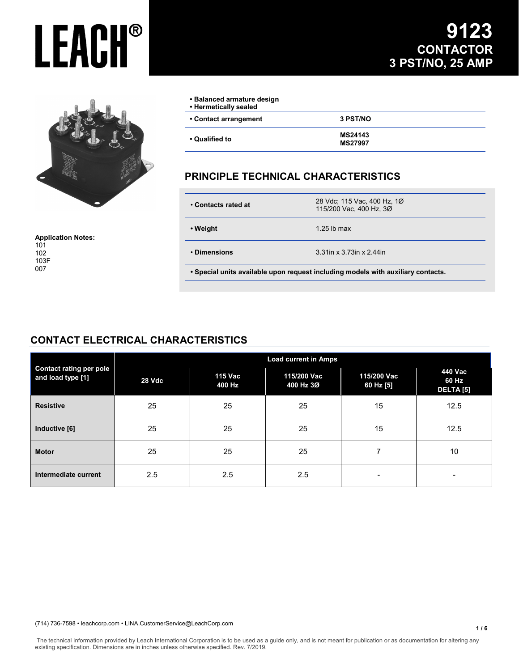

**Application Notes:** 101 102 103F 007

## **9123 CONTACTOR 3 PST/NO, 25 AMP**

| • Balanced armature design<br>• Hermetically sealed |                                  |
|-----------------------------------------------------|----------------------------------|
| • Contact arrangement                               | 3 PST/NO                         |
| ∙ Qualified to                                      | <b>MS24143</b><br><b>MS27997</b> |

### **PRINCIPLE TECHNICAL CHARACTERISTICS**

| • Contacts rated at                                                              | 28 Vdc; 115 Vac, 400 Hz, 10<br>115/200 Vac, 400 Hz, 3Ø |  |  |
|----------------------------------------------------------------------------------|--------------------------------------------------------|--|--|
| • Weight                                                                         | 1.25 lb max                                            |  |  |
| • Dimensions                                                                     | 3.31in x 3.73in x 2.44in                               |  |  |
| . Special units available upon request including models with auxiliary contacts. |                                                        |  |  |

### **CONTACT ELECTRICAL CHARACTERISTICS**

| <b>Contact rating per pole</b><br>and load type [1] | <b>Load current in Amps</b> |                   |                          |                          |                               |
|-----------------------------------------------------|-----------------------------|-------------------|--------------------------|--------------------------|-------------------------------|
|                                                     | 28 Vdc                      | 115 Vac<br>400 Hz | 115/200 Vac<br>400 Hz 3Ø | 115/200 Vac<br>60 Hz [5] | 440 Vac<br>60 Hz<br>DELTA [5] |
| <b>Resistive</b>                                    | 25                          | 25                | 25                       | 15                       | 12.5                          |
| Inductive [6]                                       | 25                          | 25                | 25                       | 15                       | 12.5                          |
| <b>Motor</b>                                        | 25                          | 25                | 25                       | 7                        | 10                            |
| Intermediate current                                | 2.5                         | 2.5               | 2.5                      | $\overline{\phantom{a}}$ | $\overline{\phantom{a}}$      |

#### (714) 736-7598 • leachcorp.com • LINA.CustomerService@LeachCorp.com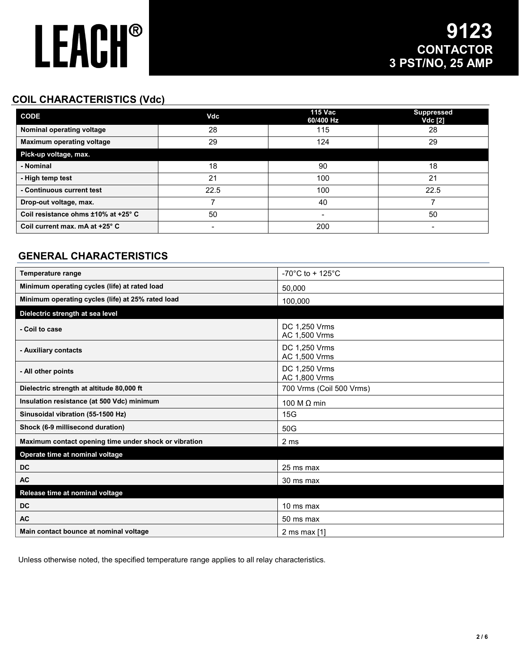## **COIL CHARACTERISTICS (Vdc)**

| <b>CODE</b>                         | Vdc  | <b>115 Vac</b><br>60/400 Hz | <b>Suppressed</b><br><b>Vdc</b> [2] |
|-------------------------------------|------|-----------------------------|-------------------------------------|
| Nominal operating voltage           | 28   | 115                         | 28                                  |
| <b>Maximum operating voltage</b>    | 29   | 124                         | 29                                  |
| Pick-up voltage, max.               |      |                             |                                     |
| - Nominal                           | 18   | 90                          | 18                                  |
| - High temp test                    | 21   | 100                         | 21                                  |
| - Continuous current test           | 22.5 | 100                         | 22.5                                |
| Drop-out voltage, max.              |      | 40                          |                                     |
| Coil resistance ohms ±10% at +25° C | 50   | -                           | 50                                  |
| Coil current max. mA at +25° C      |      | 200                         | -                                   |

### **GENERAL CHARACTERISTICS**

| <b>Temperature range</b>                              | -70 $^{\circ}$ C to + 125 $^{\circ}$ C |
|-------------------------------------------------------|----------------------------------------|
| Minimum operating cycles (life) at rated load         | 50,000                                 |
| Minimum operating cycles (life) at 25% rated load     | 100,000                                |
| Dielectric strength at sea level                      |                                        |
| - Coil to case                                        | DC 1.250 Vrms<br>AC 1,500 Vrms         |
| - Auxiliary contacts                                  | DC 1,250 Vrms<br>AC 1,500 Vrms         |
| - All other points                                    | DC 1,250 Vrms<br>AC 1,800 Vrms         |
| Dielectric strength at altitude 80,000 ft             | 700 Vrms (Coil 500 Vrms)               |
| Insulation resistance (at 500 Vdc) minimum            | 100 M $\Omega$ min                     |
| Sinusoidal vibration (55-1500 Hz)                     | 15G                                    |
| Shock (6-9 millisecond duration)                      | 50G                                    |
| Maximum contact opening time under shock or vibration | 2 ms                                   |
| Operate time at nominal voltage                       |                                        |
| DC                                                    | 25 ms max                              |
| <b>AC</b>                                             | 30 ms max                              |
| Release time at nominal voltage                       |                                        |
| <b>DC</b>                                             | 10 ms max                              |
| <b>AC</b>                                             | 50 ms max                              |
| Main contact bounce at nominal voltage                | 2 ms max $[1]$                         |

Unless otherwise noted, the specified temperature range applies to all relay characteristics.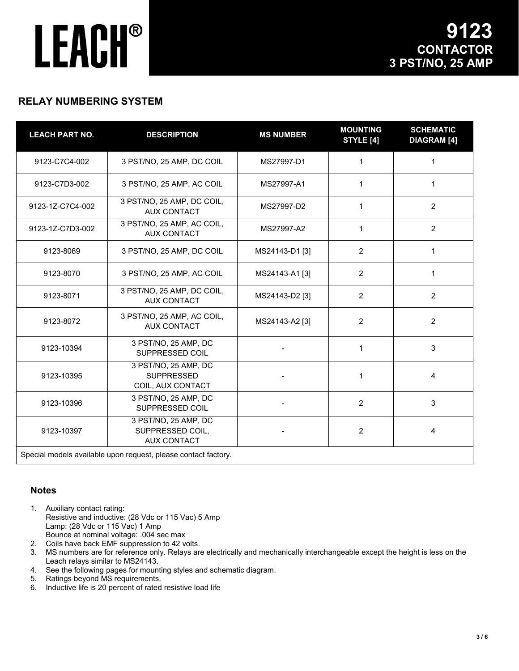### **RELAY NUMBERING SYSTEM**

| <b>LEACH PART NO.</b> | <b>DESCRIPTION</b>                                             | <b>MS NUMBER</b> | <b>MOUNTING</b><br><b>STYLE [4]</b> | <b>SCHEMATIC</b><br><b>DIAGRAM</b> [4] |
|-----------------------|----------------------------------------------------------------|------------------|-------------------------------------|----------------------------------------|
| 9123-C7C4-002         | 3 PST/NO, 25 AMP, DC COIL                                      | MS27997-D1       | 1                                   | 1                                      |
| 9123-C7D3-002         | 3 PST/NO, 25 AMP, AC COIL                                      | MS27997-A1       | 1                                   | 1                                      |
| 9123-1Z-C7C4-002      | 3 PST/NO, 25 AMP, DC COIL,<br><b>AUX CONTACT</b>               | MS27997-D2       | 1                                   | $\overline{2}$                         |
| 9123-1Z-C7D3-002      | 3 PST/NO, 25 AMP, AC COIL,<br>MS27997-A2<br><b>AUX CONTACT</b> |                  | 1                                   | $\overline{2}$                         |
| 9123-8069             | 3 PST/NO, 25 AMP, DC COIL                                      | MS24143-D1 [3]   | 2                                   | 1                                      |
| 9123-8070             | 3 PST/NO, 25 AMP, AC COIL                                      | MS24143-A1 [3]   | $\overline{2}$                      | 1                                      |
| 9123-8071             | 3 PST/NO, 25 AMP, DC COIL,<br><b>AUX CONTACT</b>               | MS24143-D2 [3]   | $\overline{2}$                      | $\overline{2}$                         |
| 9123-8072             | 3 PST/NO, 25 AMP, AC COIL,<br><b>AUX CONTACT</b>               | MS24143-A2 [3]   | $\overline{2}$                      | 2                                      |
| 9123-10394            | 3 PST/NO, 25 AMP, DC<br>SUPPRESSED COIL                        |                  | 1                                   | $\mathbf{3}$                           |
| 9123-10395            | 3 PST/NO, 25 AMP, DC<br><b>SUPPRESSED</b><br>COIL, AUX CONTACT |                  | $\mathbf{1}$                        | 4                                      |
| 9123-10396            | 3 PST/NO, 25 AMP, DC<br>SUPPRESSED COIL                        |                  | $\overline{2}$                      | 3                                      |
| 9123-10397            | 3 PST/NO, 25 AMP, DC<br>SUPPRESSED COIL,<br><b>AUX CONTACT</b> |                  | $\overline{2}$                      | 4                                      |
|                       | Special models available upon request, please contact factory. |                  |                                     |                                        |

#### **Notes**

- 1. Auxiliary contact rating: Resistive and inductive: (28 Vdc or 115 Vac) 5 Amp Lamp: (28 Vdc or 115 Vac) 1 Amp Bounce at nominal voltage: .004 sec max
- 2. Coils have back EMF suppression to 42 volts.
- 3. MS numbers are for reference only. Relays are electrically and mechanically interchangeable except the height is less on the Leach relays similar to MS24143.
- 4. See the following pages for mounting styles and schematic diagram.
- 5. Ratings beyond MS requirements.
- 6. Inductive life is 20 percent of rated resistive load life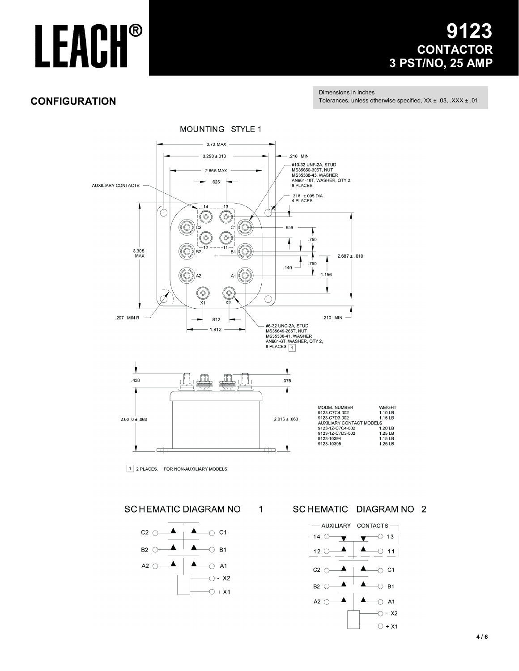## 3 **CONTACTOR** 3 PST/NO, 25 AMP

### **CONFIGURATION**

Dimensions in inches Tolerances, unless otherwise specified, XX ± .03, .XXX ± .01



 $\mathbf{1}$ 

1 2 PLACES, FOR NON-AUXILIARY MODELS

**SCHEMATIC DIAGRAM NO** 



SCHEMATIC DIAGRAM NO 2

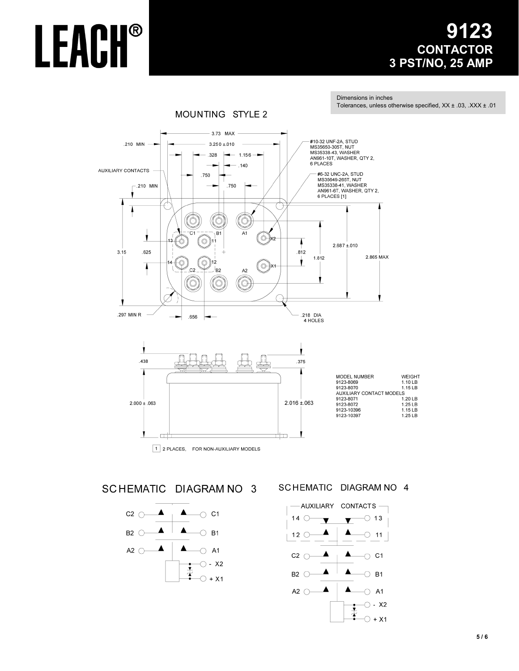## 23 **CONTACTOR** 3 PST/NO, 25 AMP

Tolerances, unless otherwise specified, XX ± .03, .XXX ± .01

**WEIGHT** 

 $1.10$  LB 1.15 LB

1.25 LB<br>1.25 LB

1.25 LB

Dimensions in inches

**MOUNTING STYLE 2** 3.73 MAX #10-32 UNF-2A, STUD 210 MIN  $3.250 + 010$ MS35650-305T, NUT<br>MS35650-305T, NUT<br>MS35338-43, WASHER  $- 1.156 -$ .328 AN961-10T, WASHER, QTY 2,<br>6 PLACES  $.140$ AUXILIARY CONTACTS #6-32 UNC-2A, STUD<br>MS35649-265T, NUT .750  $.750$ MS35338-41, WASHER<br>AN961-6T, WASHER, QTY 2,  $-.210$  MIN 6 PLACES [1] C  $\overline{C}$ 1  $B1$  $A<sub>1</sub>$ J  $\circ$  x2 Ò ١  $2.687 \pm 010$  $3.15$  $.625$  $.812$ 2.865 MAX 1.812 Ŷ T ∑⊙ )×1  $C<sub>2</sub>$ /<sub>B2</sub>  $A2$ O C 1 .297 MIN R 218 DIA .656 4 HOLES







#### SCHEMATIC DIAGRAM NO 4